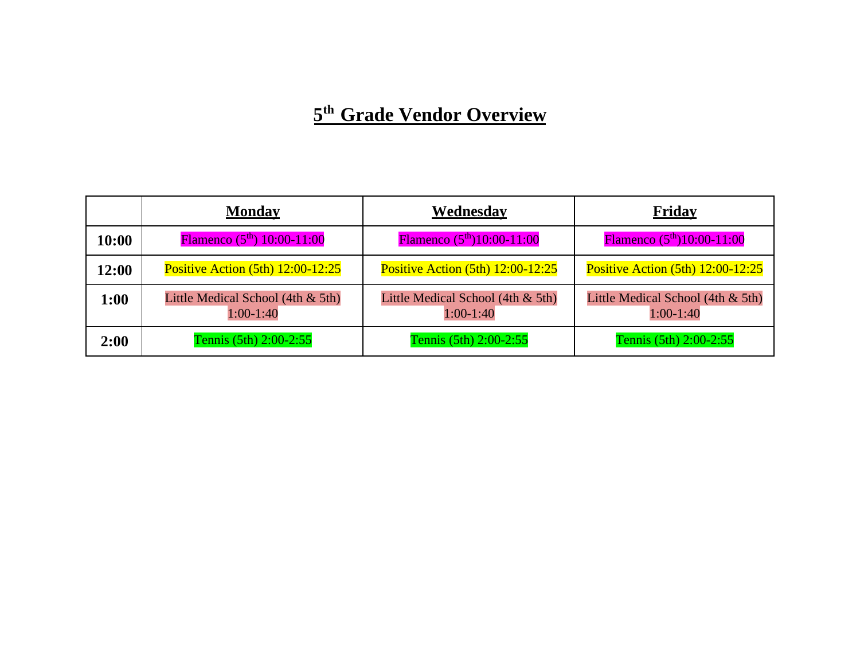# **5 th Grade Vendor Overview**

|       | <b>Monday</b>                                    | Wednesday                                        | <b>Friday</b>                                    |
|-------|--------------------------------------------------|--------------------------------------------------|--------------------------------------------------|
| 10:00 | Flamenco $(5th)$ 10:00-11:00                     | Flamenco $(5th)10:00-11:00$                      | Flamenco $(5th)10:00-11:00$                      |
| 12:00 | Positive Action $(5th)$ 12:00-12:25              | <b>Positive Action (5th) 12:00-12:25</b>         | <b>Positive Action (5th) 12:00-12:25</b>         |
| 1:00  | Little Medical School (4th & 5th)<br>$1:00-1:40$ | Little Medical School (4th & 5th)<br>$1:00-1:40$ | Little Medical School (4th & 5th)<br>$1:00-1:40$ |
| 2:00  | Tennis (5th) 2:00-2:55                           | Tennis (5th) 2:00-2:55                           | Tennis (5th) 2:00-2:55                           |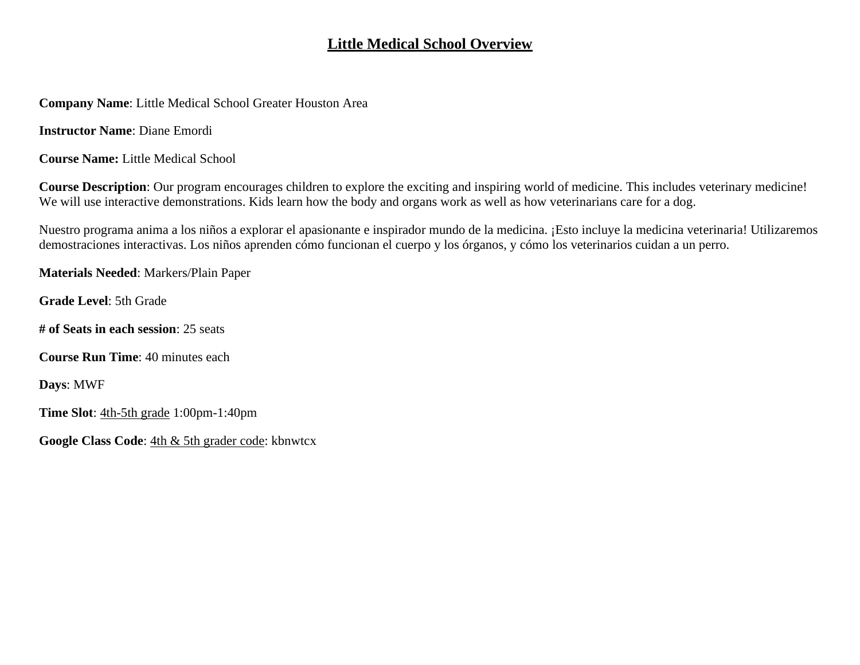## **Little Medical School Overview**

**Company Name**: Little Medical School Greater Houston Area

**Instructor Name**: Diane Emordi

**Course Name:** Little Medical School

**Course Description**: Our program encourages children to explore the exciting and inspiring world of medicine. This includes veterinary medicine! We will use interactive demonstrations. Kids learn how the body and organs work as well as how veterinarians care for a dog.

Nuestro programa anima a los niños a explorar el apasionante e inspirador mundo de la medicina. ¡Esto incluye la medicina veterinaria! Utilizaremos demostraciones interactivas. Los niños aprenden cómo funcionan el cuerpo y los órganos, y cómo los veterinarios cuidan a un perro.

**Materials Needed**: Markers/Plain Paper

**Grade Level**: 5th Grade

**# of Seats in each session**: 25 seats

**Course Run Time**: 40 minutes each

**Days**: MWF

**Time Slot**: 4th-5th grade 1:00pm-1:40pm

**Google Class Code**: 4th & 5th grader code: kbnwtcx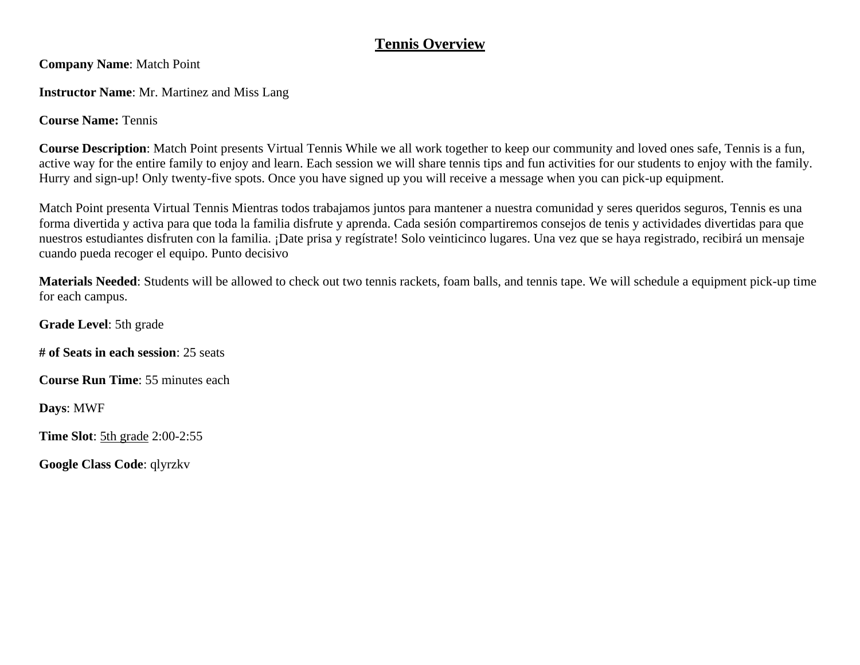## **Tennis Overview**

**Company Name**: Match Point

**Instructor Name**: Mr. Martinez and Miss Lang

**Course Name:** Tennis

**Course Description**: Match Point presents Virtual Tennis While we all work together to keep our community and loved ones safe, Tennis is a fun, active way for the entire family to enjoy and learn. Each session we will share tennis tips and fun activities for our students to enjoy with the family. Hurry and sign-up! Only twenty-five spots. Once you have signed up you will receive a message when you can pick-up equipment.

Match Point presenta Virtual Tennis Mientras todos trabajamos juntos para mantener a nuestra comunidad y seres queridos seguros, Tennis es una forma divertida y activa para que toda la familia disfrute y aprenda. Cada sesión compartiremos consejos de tenis y actividades divertidas para que nuestros estudiantes disfruten con la familia. ¡Date prisa y regístrate! Solo veinticinco lugares. Una vez que se haya registrado, recibirá un mensaje cuando pueda recoger el equipo. Punto decisivo

**Materials Needed**: Students will be allowed to check out two tennis rackets, foam balls, and tennis tape. We will schedule a equipment pick-up time for each campus.

**Grade Level**: 5th grade

**# of Seats in each session**: 25 seats

**Course Run Time**: 55 minutes each

**Days**: MWF

**Time Slot**: 5th grade 2:00-2:55

**Google Class Code**: qlyrzkv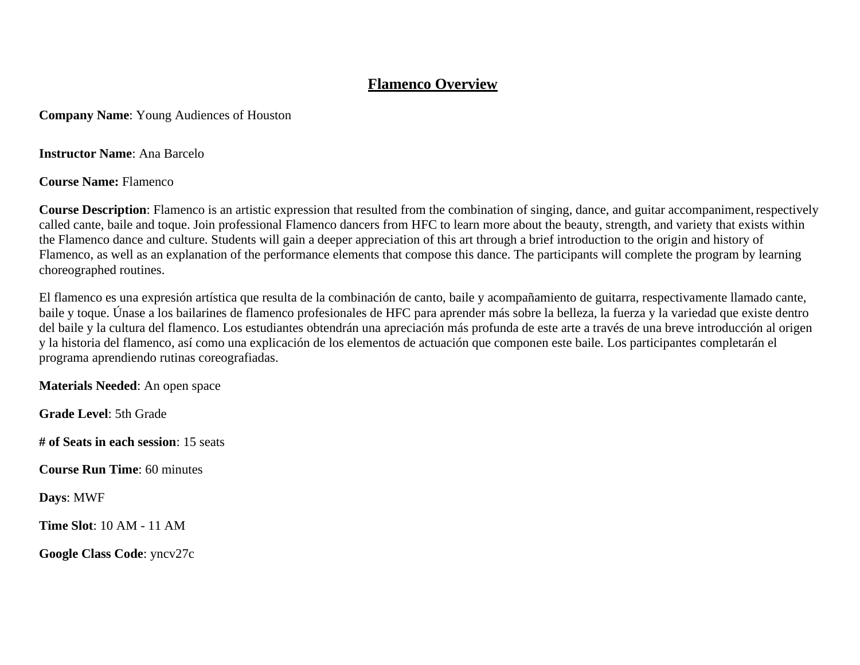#### **Flamenco Overview**

**Company Name**: Young Audiences of Houston

**Instructor Name**: Ana Barcelo

**Course Name:** Flamenco

**Course Description**: Flamenco is an artistic expression that resulted from the combination of singing, dance, and guitar accompaniment, respectively called cante, baile and toque. Join professional Flamenco dancers from HFC to learn more about the beauty, strength, and variety that exists within the Flamenco dance and culture. Students will gain a deeper appreciation of this art through a brief introduction to the origin and history of Flamenco, as well as an explanation of the performance elements that compose this dance. The participants will complete the program by learning choreographed routines.

El flamenco es una expresión artística que resulta de la combinación de canto, baile y acompañamiento de guitarra, respectivamente llamado cante, baile y toque. Únase a los bailarines de flamenco profesionales de HFC para aprender más sobre la belleza, la fuerza y la variedad que existe dentro del baile y la cultura del flamenco. Los estudiantes obtendrán una apreciación más profunda de este arte a través de una breve introducción al origen y la historia del flamenco, así como una explicación de los elementos de actuación que componen este baile. Los participantes completarán el programa aprendiendo rutinas coreografiadas.

**Materials Needed**: An open space

**Grade Level**: 5th Grade

**# of Seats in each session**: 15 seats

**Course Run Time**: 60 minutes

**Days**: MWF

**Time Slot**: 10 AM - 11 AM

**Google Class Code**: yncv27c